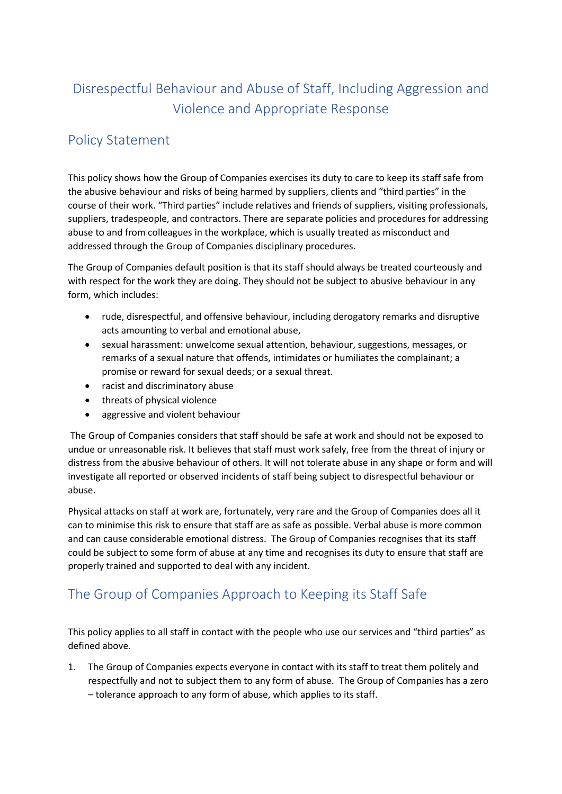# Disrespectful Behaviour and Abuse of Staff, Including Aggression and Violence and Appropriate Response

### Policy Statement

This policy shows how the Group of Companies exercises its duty to care to keep its staff safe from the abusive behaviour and risks of being harmed by suppliers, clients and "third parties" in the course of their work. "Third parties" include relatives and friends of suppliers, visiting professionals, suppliers, tradespeople, and contractors. There are separate policies and procedures for addressing abuse to and from colleagues in the workplace, which is usually treated as misconduct and addressed through the Group of Companies disciplinary procedures.

The Group of Companies default position is that its staff should always be treated courteously and with respect for the work they are doing. They should not be subject to abusive behaviour in any form, which includes:

- rude, disrespectful, and offensive behaviour, including derogatory remarks and disruptive acts amounting to verbal and emotional abuse,
- sexual harassment: unwelcome sexual attention, behaviour, suggestions, messages, or remarks of a sexual nature that offends, intimidates or humiliates the complainant; a promise or reward for sexual deeds; or a sexual threat.
- racist and discriminatory abuse
- threats of physical violence
- aggressive and violent behaviour

The Group of Companies considers that staff should be safe at work and should not be exposed to undue or unreasonable risk. It believes that staff must work safely, free from the threat of injury or distress from the abusive behaviour of others. It will not tolerate abuse in any shape or form and will investigate all reported or observed incidents of staff being subject to disrespectful behaviour or abuse.

Physical attacks on staff at work are, fortunately, very rare and the Group of Companies does all it can to minimise this risk to ensure that staff are as safe as possible. Verbal abuse is more common and can cause considerable emotional distress. The Group of Companies recognises that its staff could be subject to some form of abuse at any time and recognises its duty to ensure that staff are properly trained and supported to deal with any incident.

### The Group of Companies Approach to Keeping its Staff Safe

This policy applies to all staff in contact with the people who use our services and "third parties" as defined above.

1. The Group of Companies expects everyone in contact with its staff to treat them politely and respectfully and not to subject them to any form of abuse. The Group of Companies has a zero – tolerance approach to any form of abuse, which applies to its staff.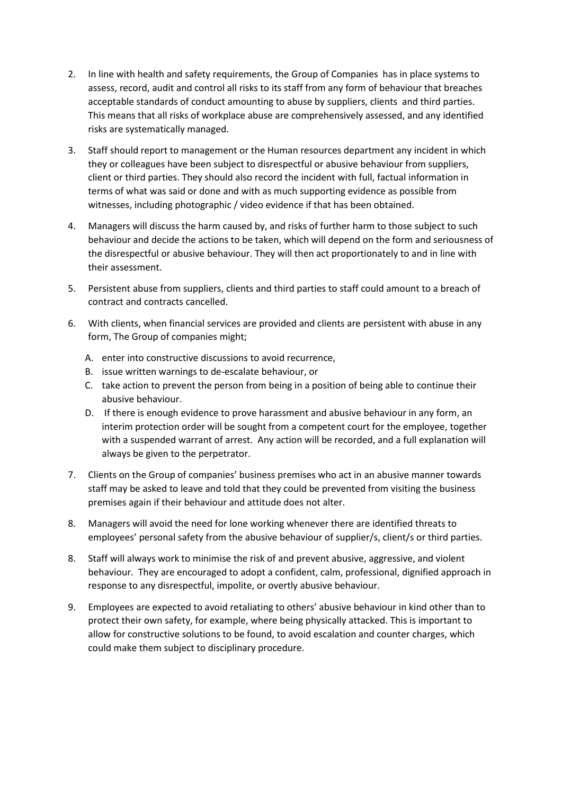- 2. In line with health and safety requirements, the Group of Companies has in place systems to assess, record, audit and control all risks to its staff from any form of behaviour that breaches acceptable standards of conduct amounting to abuse by suppliers, clients and third parties. This means that all risks of workplace abuse are comprehensively assessed, and any identified risks are systematically managed.
- 3. Staff should report to management or the Human resources department any incident in which they or colleagues have been subject to disrespectful or abusive behaviour from suppliers, client or third parties. They should also record the incident with full, factual information in terms of what was said or done and with as much supporting evidence as possible from witnesses, including photographic / video evidence if that has been obtained.
- 4. Managers will discuss the harm caused by, and risks of further harm to those subject to such behaviour and decide the actions to be taken, which will depend on the form and seriousness of the disrespectful or abusive behaviour. They will then act proportionately to and in line with their assessment.
- 5. Persistent abuse from suppliers, clients and third parties to staff could amount to a breach of contract and contracts cancelled.
- 6. With clients, when financial services are provided and clients are persistent with abuse in any form, The Group of companies might;
	- A. enter into constructive discussions to avoid recurrence,
	- B. issue written warnings to de-escalate behaviour, or
	- C. take action to prevent the person from being in a position of being able to continue their abusive behaviour.
	- D. If there is enough evidence to prove harassment and abusive behaviour in any form, an interim protection order will be sought from a competent court for the employee, together with a suspended warrant of arrest. Any action will be recorded, and a full explanation will always be given to the perpetrator.
- 7. Clients on the Group of companies' business premises who act in an abusive manner towards staff may be asked to leave and told that they could be prevented from visiting the business premises again if their behaviour and attitude does not alter.
- 8. Managers will avoid the need for lone working whenever there are identified threats to employees' personal safety from the abusive behaviour of supplier/s, client/s or third parties.
- 8. Staff will always work to minimise the risk of and prevent abusive, aggressive, and violent behaviour. They are encouraged to adopt a confident, calm, professional, dignified approach in response to any disrespectful, impolite, or overtly abusive behaviour.
- 9. Employees are expected to avoid retaliating to others' abusive behaviour in kind other than to protect their own safety, for example, where being physically attacked. This is important to allow for constructive solutions to be found, to avoid escalation and counter charges, which could make them subject to disciplinary procedure.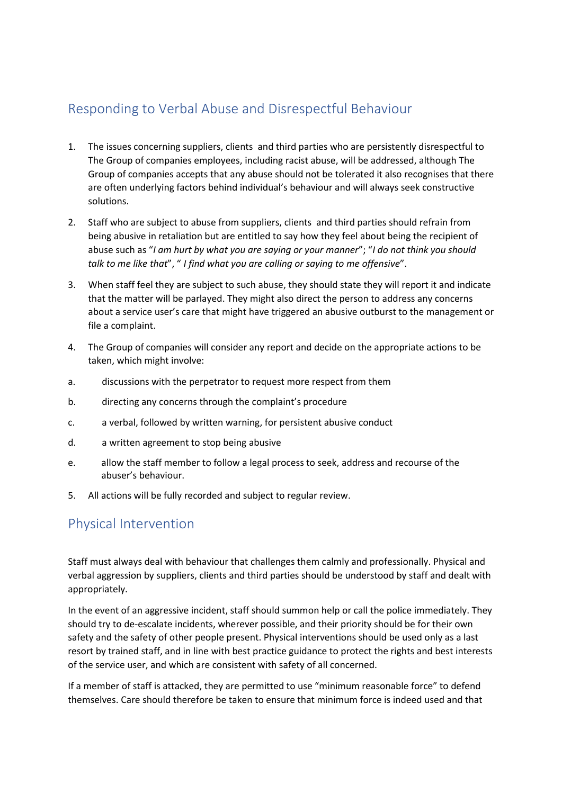## Responding to Verbal Abuse and Disrespectful Behaviour

- 1. The issues concerning suppliers, clients and third parties who are persistently disrespectful to The Group of companies employees, including racist abuse, will be addressed, although The Group of companies accepts that any abuse should not be tolerated it also recognises that there are often underlying factors behind individual's behaviour and will always seek constructive solutions.
- 2. Staff who are subject to abuse from suppliers, clients and third parties should refrain from being abusive in retaliation but are entitled to say how they feel about being the recipient of abuse such as "*I am hurt by what you are saying or your manner*"; "*I do not think you should talk to me like that*", " *I find what you are calling or saying to me offensive*".
- 3. When staff feel they are subject to such abuse, they should state they will report it and indicate that the matter will be parlayed. They might also direct the person to address any concerns about a service user's care that might have triggered an abusive outburst to the management or file a complaint.
- 4. The Group of companies will consider any report and decide on the appropriate actions to be taken, which might involve:
- a. discussions with the perpetrator to request more respect from them
- b. directing any concerns through the complaint's procedure
- c. a verbal, followed by written warning, for persistent abusive conduct
- d. a written agreement to stop being abusive
- e. allow the staff member to follow a legal process to seek, address and recourse of the abuser's behaviour.
- 5. All actions will be fully recorded and subject to regular review.

### Physical Intervention

Staff must always deal with behaviour that challenges them calmly and professionally. Physical and verbal aggression by suppliers, clients and third parties should be understood by staff and dealt with appropriately.

In the event of an aggressive incident, staff should summon help or call the police immediately. They should try to de-escalate incidents, wherever possible, and their priority should be for their own safety and the safety of other people present. Physical interventions should be used only as a last resort by trained staff, and in line with best practice guidance to protect the rights and best interests of the service user, and which are consistent with safety of all concerned.

If a member of staff is attacked, they are permitted to use "minimum reasonable force" to defend themselves. Care should therefore be taken to ensure that minimum force is indeed used and that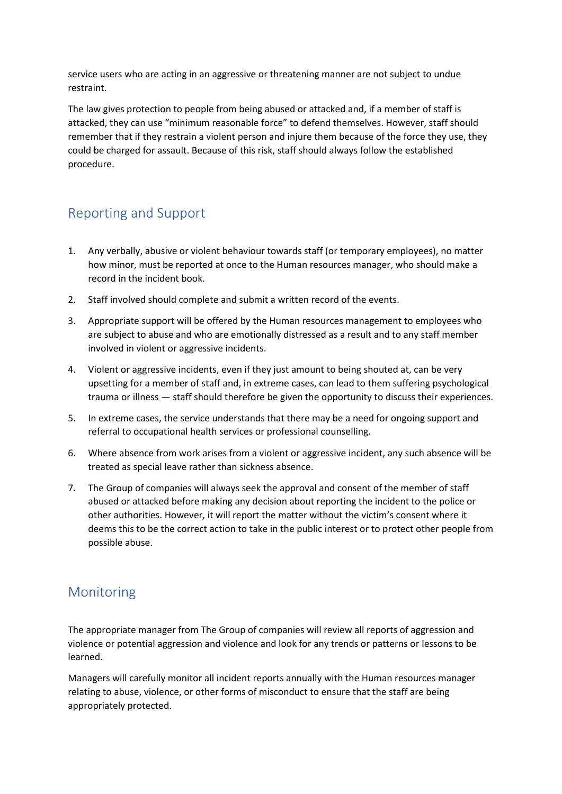service users who are acting in an aggressive or threatening manner are not subject to undue restraint.

The law gives protection to people from being abused or attacked and, if a member of staff is attacked, they can use "minimum reasonable force" to defend themselves. However, staff should remember that if they restrain a violent person and injure them because of the force they use, they could be charged for assault. Because of this risk, staff should always follow the established procedure.

## Reporting and Support

- 1. Any verbally, abusive or violent behaviour towards staff (or temporary employees), no matter how minor, must be reported at once to the Human resources manager, who should make a record in the incident book.
- 2. Staff involved should complete and submit a written record of the events.
- 3. Appropriate support will be offered by the Human resources management to employees who are subject to abuse and who are emotionally distressed as a result and to any staff member involved in violent or aggressive incidents.
- 4. Violent or aggressive incidents, even if they just amount to being shouted at, can be very upsetting for a member of staff and, in extreme cases, can lead to them suffering psychological trauma or illness — staff should therefore be given the opportunity to discuss their experiences.
- 5. In extreme cases, the service understands that there may be a need for ongoing support and referral to occupational health services or professional counselling.
- 6. Where absence from work arises from a violent or aggressive incident, any such absence will be treated as special leave rather than sickness absence.
- 7. The Group of companies will always seek the approval and consent of the member of staff abused or attacked before making any decision about reporting the incident to the police or other authorities. However, it will report the matter without the victim's consent where it deems this to be the correct action to take in the public interest or to protect other people from possible abuse.

#### Monitoring

The appropriate manager from The Group of companies will review all reports of aggression and violence or potential aggression and violence and look for any trends or patterns or lessons to be learned.

Managers will carefully monitor all incident reports annually with the Human resources manager relating to abuse, violence, or other forms of misconduct to ensure that the staff are being appropriately protected.